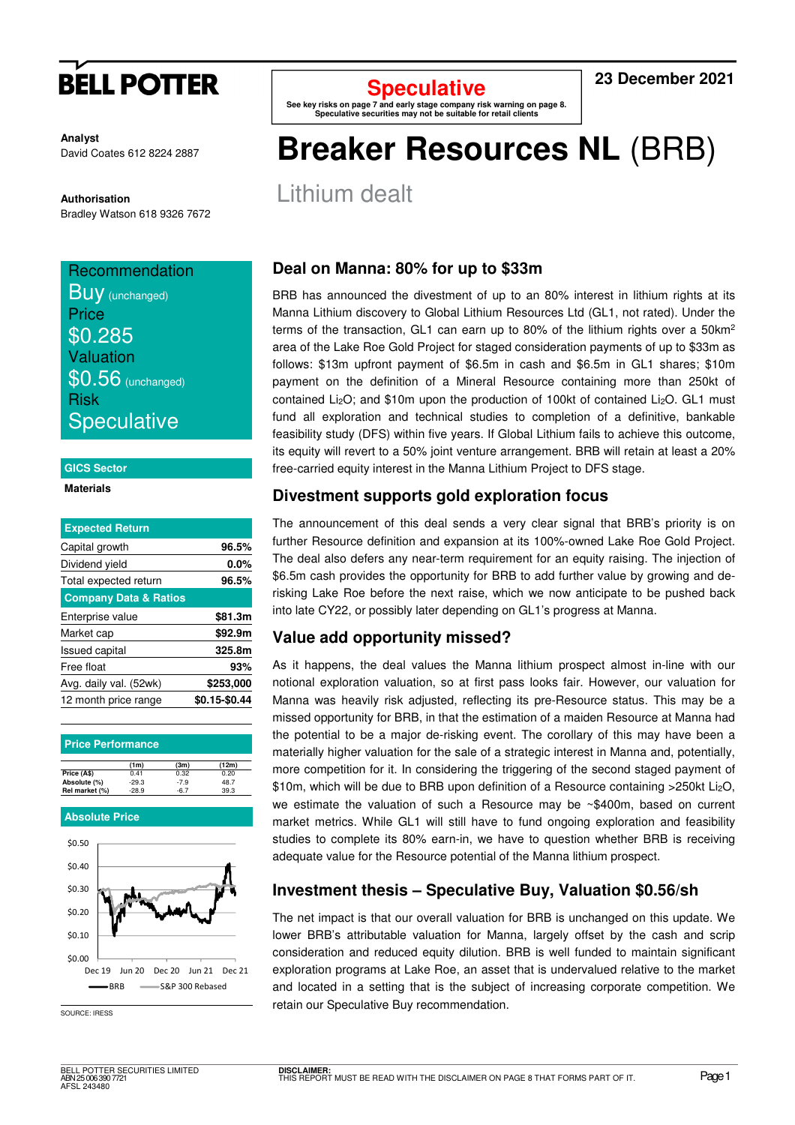

**Analyst** David Coates 612 8224 2887

**Authorisation**  Bradley Watson 618 9326 7672

# Recommendation

| <b>Buy</b> (unchanged) |
|------------------------|
| Price                  |
| \$0.285                |
| Valuation              |
| $$0.56$ (unchanged)    |
| <b>Risk</b>            |
| <b>Speculative</b>     |

### **GICS Sector**

### **Materials**

| <b>Expected Return</b>           |               |
|----------------------------------|---------------|
| Capital growth                   | 96.5%         |
| Dividend yield                   | $0.0\%$       |
| Total expected return            | 96.5%         |
| <b>Company Data &amp; Ratios</b> |               |
| Enterprise value                 | \$81.3m       |
| Market cap                       | \$92.9m       |
| <b>Issued capital</b>            | 325.8m        |
| Free float                       | 93%           |
| Avg. daily val. (52wk)           | \$253,000     |
| 12 month price range             | \$0.15-\$0.44 |

| <b>Price Performance</b> |  |
|--------------------------|--|
|                          |  |
|                          |  |

|                | (1m)    | (3m)   | (12m) |
|----------------|---------|--------|-------|
| Price (AS)     | 0.41    | 0.32   | 0.20  |
| Absolute (%)   | $-29.3$ | $-7.9$ | 48.7  |
| Rel market (%) | $-28.9$ | -6.7   | 39.3  |

### **Absolute Price**



SOURCE: IRESS

**Speculative** 

**See key risks on page 7 and early stage company risk warning on page 8. Speculative securities may not be suitable for retail clients** 

### **23 December 2021**

# **Breaker Resources NL** (BRB)

Lithium dealt

### **Deal on Manna: 80% for up to \$33m**

BRB has announced the divestment of up to an 80% interest in lithium rights at its Manna Lithium discovery to Global Lithium Resources Ltd (GL1, not rated). Under the terms of the transaction, GL1 can earn up to 80% of the lithium rights over a  $50 \text{km}^2$ area of the Lake Roe Gold Project for staged consideration payments of up to \$33m as follows: \$13m upfront payment of \$6.5m in cash and \$6.5m in GL1 shares; \$10m payment on the definition of a Mineral Resource containing more than 250kt of contained Li<sub>2</sub>O; and \$10m upon the production of 100kt of contained Li<sub>2</sub>O. GL1 must fund all exploration and technical studies to completion of a definitive, bankable feasibility study (DFS) within five years. If Global Lithium fails to achieve this outcome, its equity will revert to a 50% joint venture arrangement. BRB will retain at least a 20% free-carried equity interest in the Manna Lithium Project to DFS stage.

## **Divestment supports gold exploration focus**

The announcement of this deal sends a very clear signal that BRB's priority is on further Resource definition and expansion at its 100%-owned Lake Roe Gold Project. The deal also defers any near-term requirement for an equity raising. The injection of \$6.5m cash provides the opportunity for BRB to add further value by growing and derisking Lake Roe before the next raise, which we now anticipate to be pushed back into late CY22, or possibly later depending on GL1's progress at Manna.

## **Value add opportunity missed?**

As it happens, the deal values the Manna lithium prospect almost in-line with our notional exploration valuation, so at first pass looks fair. However, our valuation for Manna was heavily risk adjusted, reflecting its pre-Resource status. This may be a missed opportunity for BRB, in that the estimation of a maiden Resource at Manna had the potential to be a major de-risking event. The corollary of this may have been a materially higher valuation for the sale of a strategic interest in Manna and, potentially, more competition for it. In considering the triggering of the second staged payment of \$10m, which will be due to BRB upon definition of a Resource containing >250kt Li<sub>2</sub>O, we estimate the valuation of such a Resource may be ~\$400m, based on current market metrics. While GL1 will still have to fund ongoing exploration and feasibility studies to complete its 80% earn-in, we have to question whether BRB is receiving adequate value for the Resource potential of the Manna lithium prospect.

## **Investment thesis – Speculative Buy, Valuation \$0.56/sh**

The net impact is that our overall valuation for BRB is unchanged on this update. We lower BRB's attributable valuation for Manna, largely offset by the cash and scrip consideration and reduced equity dilution. BRB is well funded to maintain significant exploration programs at Lake Roe, an asset that is undervalued relative to the market and located in a setting that is the subject of increasing corporate competition. We retain our Speculative Buy recommendation.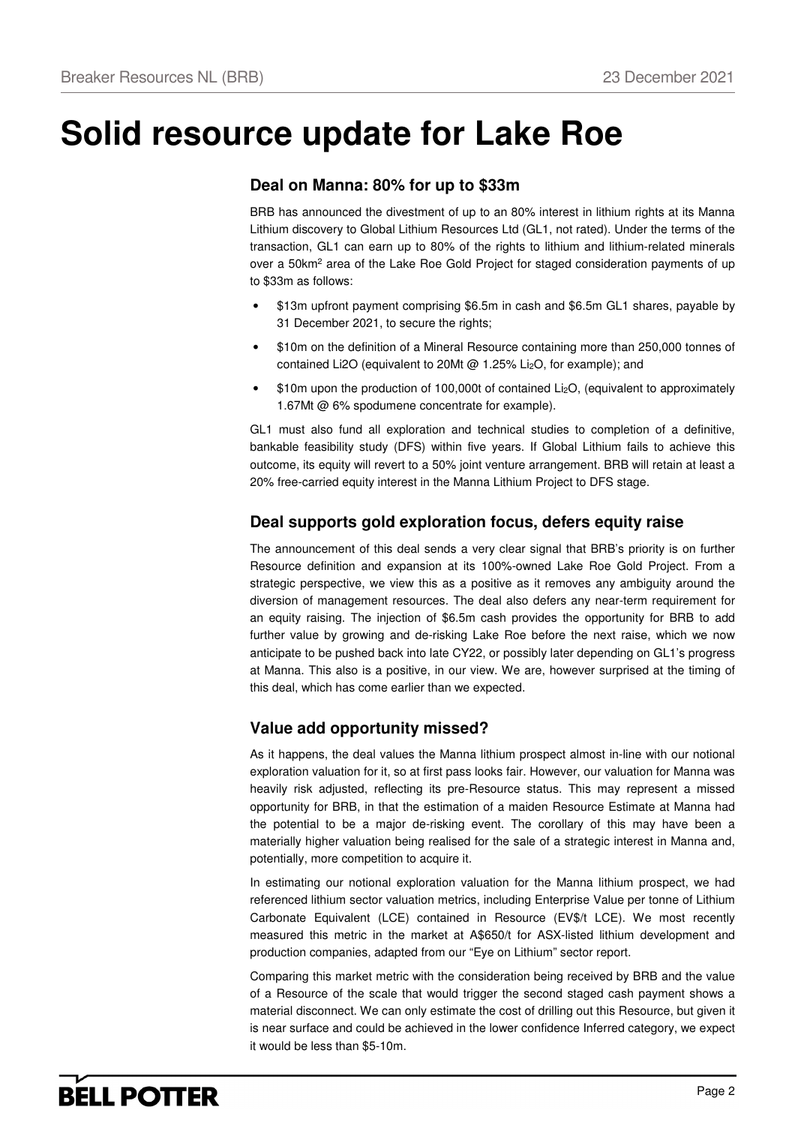# **Solid resource update for Lake Roe**

## **Deal on Manna: 80% for up to \$33m**

BRB has announced the divestment of up to an 80% interest in lithium rights at its Manna Lithium discovery to Global Lithium Resources Ltd (GL1, not rated). Under the terms of the transaction, GL1 can earn up to 80% of the rights to lithium and lithium-related minerals over a 50km<sup>2</sup> area of the Lake Roe Gold Project for staged consideration payments of up to \$33m as follows:

- \$13m upfront payment comprising \$6.5m in cash and \$6.5m GL1 shares, payable by 31 December 2021, to secure the rights;
- \$10m on the definition of a Mineral Resource containing more than 250,000 tonnes of contained Li2O (equivalent to 20Mt @ 1.25% Li2O, for example); and
- \$10m upon the production of 100,000t of contained Li<sub>2</sub>O, (equivalent to approximately 1.67Mt @ 6% spodumene concentrate for example).

GL1 must also fund all exploration and technical studies to completion of a definitive, bankable feasibility study (DFS) within five years. If Global Lithium fails to achieve this outcome, its equity will revert to a 50% joint venture arrangement. BRB will retain at least a 20% free-carried equity interest in the Manna Lithium Project to DFS stage.

### **Deal supports gold exploration focus, defers equity raise**

The announcement of this deal sends a very clear signal that BRB's priority is on further Resource definition and expansion at its 100%-owned Lake Roe Gold Project. From a strategic perspective, we view this as a positive as it removes any ambiguity around the diversion of management resources. The deal also defers any near-term requirement for an equity raising. The injection of \$6.5m cash provides the opportunity for BRB to add further value by growing and de-risking Lake Roe before the next raise, which we now anticipate to be pushed back into late CY22, or possibly later depending on GL1's progress at Manna. This also is a positive, in our view. We are, however surprised at the timing of this deal, which has come earlier than we expected.

## **Value add opportunity missed?**

As it happens, the deal values the Manna lithium prospect almost in-line with our notional exploration valuation for it, so at first pass looks fair. However, our valuation for Manna was heavily risk adjusted, reflecting its pre-Resource status. This may represent a missed opportunity for BRB, in that the estimation of a maiden Resource Estimate at Manna had the potential to be a major de-risking event. The corollary of this may have been a materially higher valuation being realised for the sale of a strategic interest in Manna and, potentially, more competition to acquire it.

In estimating our notional exploration valuation for the Manna lithium prospect, we had referenced lithium sector valuation metrics, including Enterprise Value per tonne of Lithium Carbonate Equivalent (LCE) contained in Resource (EV\$/t LCE). We most recently measured this metric in the market at A\$650/t for ASX-listed lithium development and production companies, adapted from our "Eye on Lithium" sector report.

Comparing this market metric with the consideration being received by BRB and the value of a Resource of the scale that would trigger the second staged cash payment shows a material disconnect. We can only estimate the cost of drilling out this Resource, but given it is near surface and could be achieved in the lower confidence Inferred category, we expect it would be less than \$5-10m.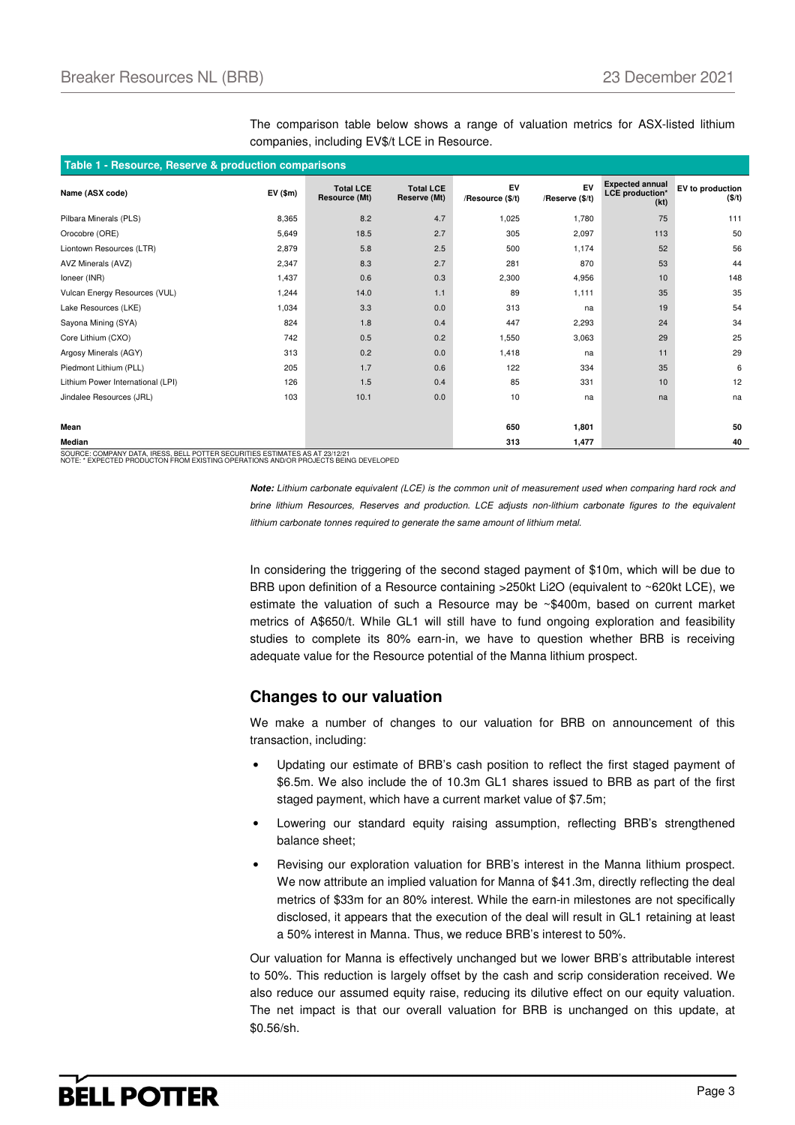| Table 1 - Resource, Reserve & production comparisons |        |                                   |                                  |                        |                       |                                                          |                            |
|------------------------------------------------------|--------|-----------------------------------|----------------------------------|------------------------|-----------------------|----------------------------------------------------------|----------------------------|
| Name (ASX code)                                      | EV(5m) | <b>Total LCE</b><br>Resource (Mt) | <b>Total LCE</b><br>Reserve (Mt) | EV<br>/Resource (\$/t) | EV<br>/Reserve (\$/t) | <b>Expected annual</b><br><b>LCE</b> production*<br>(kt) | EV to production<br>(\$/t) |
| Pilbara Minerals (PLS)                               | 8,365  | 8.2                               | 4.7                              | 1,025                  | 1,780                 | 75                                                       | 111                        |
| Orocobre (ORE)                                       | 5,649  | 18.5                              | 2.7                              | 305                    | 2,097                 | 113                                                      | 50                         |
| Liontown Resources (LTR)                             | 2,879  | 5.8                               | 2.5                              | 500                    | 1,174                 | 52                                                       | 56                         |
| AVZ Minerals (AVZ)                                   | 2,347  | 8.3                               | 2.7                              | 281                    | 870                   | 53                                                       | 44                         |
| Ioneer (INR)                                         | 1,437  | 0.6                               | 0.3                              | 2,300                  | 4,956                 | 10                                                       | 148                        |
| Vulcan Energy Resources (VUL)                        | 1,244  | 14.0                              | 1.1                              | 89                     | 1,111                 | 35                                                       | 35                         |
| Lake Resources (LKE)                                 | 1,034  | 3.3                               | 0.0                              | 313                    | na                    | 19                                                       | 54                         |
| Sayona Mining (SYA)                                  | 824    | 1.8                               | 0.4                              | 447                    | 2,293                 | 24                                                       | 34                         |
| Core Lithium (CXO)                                   | 742    | 0.5                               | 0.2                              | 1,550                  | 3,063                 | 29                                                       | 25                         |
| Argosy Minerals (AGY)                                | 313    | 0.2                               | 0.0                              | 1,418                  | na                    | 11                                                       | 29                         |
| Piedmont Lithium (PLL)                               | 205    | 1.7                               | 0.6                              | 122                    | 334                   | 35                                                       | 6                          |
| Lithium Power International (LPI)                    | 126    | 1.5                               | 0.4                              | 85                     | 331                   | 10                                                       | 12                         |
| Jindalee Resources (JRL)                             | 103    | 10.1                              | 0.0                              | 10                     | na                    | na                                                       | na                         |
|                                                      |        |                                   |                                  |                        |                       |                                                          |                            |
| Mean                                                 |        |                                   |                                  | 650                    | 1,801                 |                                                          | 50                         |
| Median                                               |        |                                   |                                  | 313                    | 1,477                 |                                                          | 40                         |

The comparison table below shows a range of valuation metrics for ASX-listed lithium companies, including EV\$/t LCE in Resource.

SOURCE: COMPANY DATA, IRESS, BELL POTTER SECURITIES ESTIMATES AS AT 23/12/21 NOTE: \* EXPECTED PRODUCTON FROM EXISTING OPERATIONS AND/OR PROJECTS BEING DEVELOPED

**Note:** Lithium carbonate equivalent (LCE) is the common unit of measurement used when comparing hard rock and brine lithium Resources, Reserves and production. LCE adjusts non-lithium carbonate figures to the equivalent lithium carbonate tonnes required to generate the same amount of lithium metal.

In considering the triggering of the second staged payment of \$10m, which will be due to BRB upon definition of a Resource containing >250kt Li2O (equivalent to ~620kt LCE), we estimate the valuation of such a Resource may be ~\$400m, based on current market metrics of A\$650/t. While GL1 will still have to fund ongoing exploration and feasibility studies to complete its 80% earn-in, we have to question whether BRB is receiving adequate value for the Resource potential of the Manna lithium prospect.

### **Changes to our valuation**

We make a number of changes to our valuation for BRB on announcement of this transaction, including:

- Updating our estimate of BRB's cash position to reflect the first staged payment of \$6.5m. We also include the of 10.3m GL1 shares issued to BRB as part of the first staged payment, which have a current market value of \$7.5m;
- Lowering our standard equity raising assumption, reflecting BRB's strengthened balance sheet;
- Revising our exploration valuation for BRB's interest in the Manna lithium prospect. We now attribute an implied valuation for Manna of \$41.3m, directly reflecting the deal metrics of \$33m for an 80% interest. While the earn-in milestones are not specifically disclosed, it appears that the execution of the deal will result in GL1 retaining at least a 50% interest in Manna. Thus, we reduce BRB's interest to 50%.

Our valuation for Manna is effectively unchanged but we lower BRB's attributable interest to 50%. This reduction is largely offset by the cash and scrip consideration received. We also reduce our assumed equity raise, reducing its dilutive effect on our equity valuation. The net impact is that our overall valuation for BRB is unchanged on this update, at \$0.56/sh.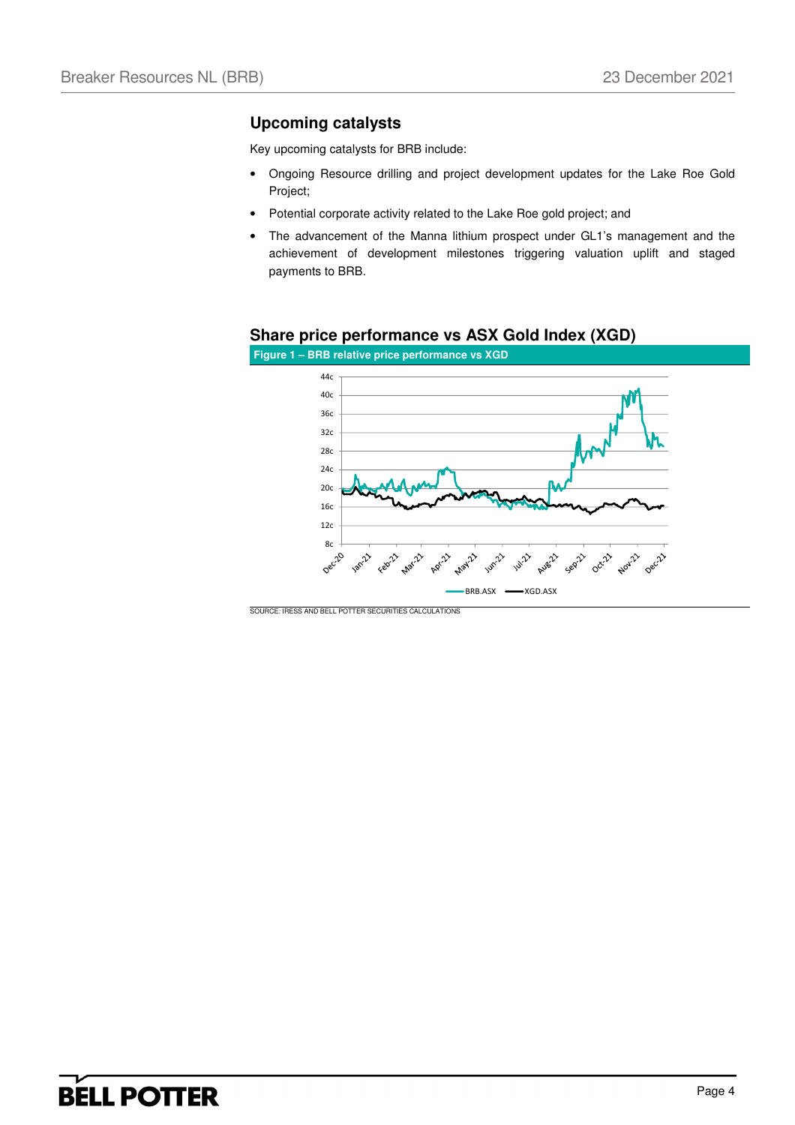### **Upcoming catalysts**

Key upcoming catalysts for BRB include:

- Ongoing Resource drilling and project development updates for the Lake Roe Gold Project;
- Potential corporate activity related to the Lake Roe gold project; and
- The advancement of the Manna lithium prospect under GL1's management and the achievement of development milestones triggering valuation uplift and staged payments to BRB.

### **Share price performance vs ASX Gold Index (XGD)**



SOURCE: IRESS AND BELL POTTER SECURITIES CALCULATIONS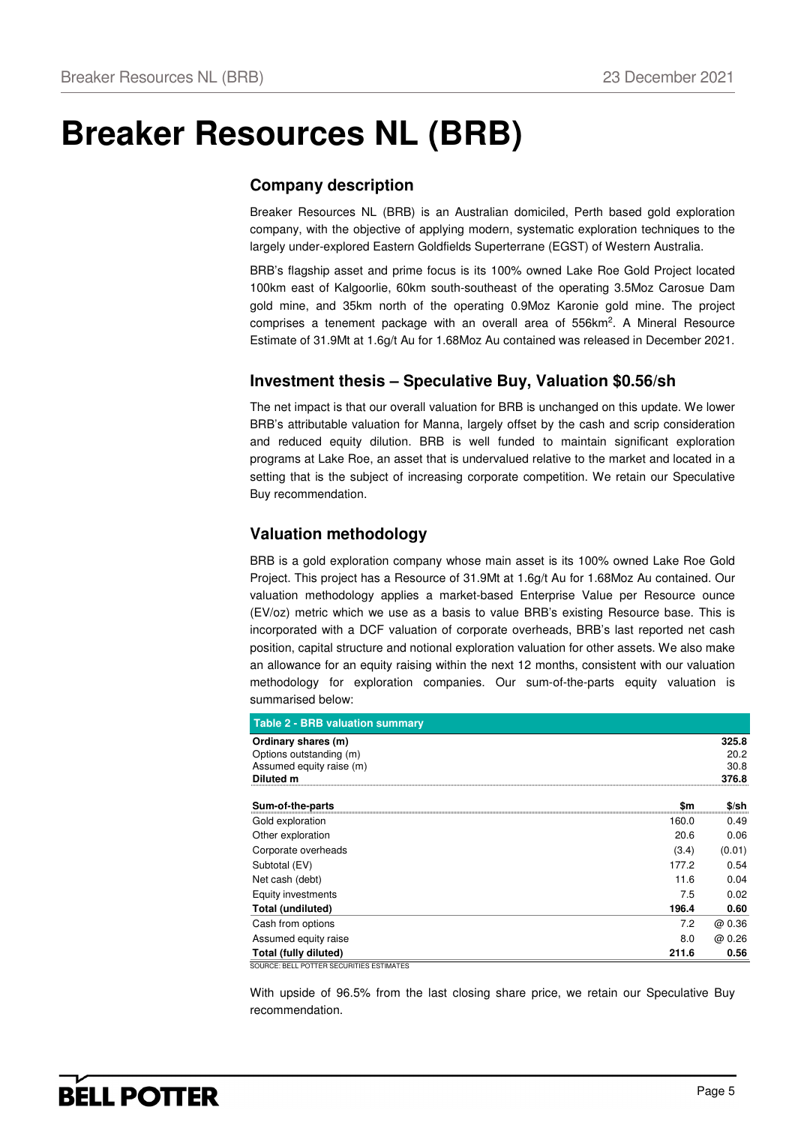# **Breaker Resources NL (BRB)**

## **Company description**

Breaker Resources NL (BRB) is an Australian domiciled, Perth based gold exploration company, with the objective of applying modern, systematic exploration techniques to the largely under-explored Eastern Goldfields Superterrane (EGST) of Western Australia.

BRB's flagship asset and prime focus is its 100% owned Lake Roe Gold Project located 100km east of Kalgoorlie, 60km south-southeast of the operating 3.5Moz Carosue Dam gold mine, and 35km north of the operating 0.9Moz Karonie gold mine. The project comprises a tenement package with an overall area of 556km<sup>2</sup>. A Mineral Resource Estimate of 31.9Mt at 1.6g/t Au for 1.68Moz Au contained was released in December 2021.

## **Investment thesis – Speculative Buy, Valuation \$0.56/sh**

The net impact is that our overall valuation for BRB is unchanged on this update. We lower BRB's attributable valuation for Manna, largely offset by the cash and scrip consideration and reduced equity dilution. BRB is well funded to maintain significant exploration programs at Lake Roe, an asset that is undervalued relative to the market and located in a setting that is the subject of increasing corporate competition. We retain our Speculative Buy recommendation.

## **Valuation methodology**

BRB is a gold exploration company whose main asset is its 100% owned Lake Roe Gold Project. This project has a Resource of 31.9Mt at 1.6g/t Au for 1.68Moz Au contained. Our valuation methodology applies a market-based Enterprise Value per Resource ounce (EV/oz) metric which we use as a basis to value BRB's existing Resource base. This is incorporated with a DCF valuation of corporate overheads, BRB's last reported net cash position, capital structure and notional exploration valuation for other assets. We also make an allowance for an equity raising within the next 12 months, consistent with our valuation methodology for exploration companies. Our sum-of-the-parts equity valuation is summarised below:

| <b>Table 2 - BRB valuation summary</b>                                                         |       |                                |
|------------------------------------------------------------------------------------------------|-------|--------------------------------|
| Ordinary shares (m)<br>Options outstanding (m)<br>Assumed equity raise (m)<br><b>Diluted m</b> |       | 325.8<br>20.2<br>30.8<br>376.8 |
| Sum-of-the-parts                                                                               | \$m   | \$/sh                          |
| Gold exploration                                                                               | 160.0 | 0.49                           |
| Other exploration                                                                              | 20.6  | 0.06                           |
| Corporate overheads                                                                            | (3.4) | (0.01)                         |
| Subtotal (EV)                                                                                  | 177.2 | 0.54                           |
| Net cash (debt)                                                                                | 11.6  | 0.04                           |
| Equity investments                                                                             | 7.5   | 0.02                           |
| Total (undiluted)                                                                              | 196.4 | 0.60                           |
| Cash from options                                                                              | 7.2   | @ 0.36                         |
| Assumed equity raise                                                                           | 8.0   | @ 0.26                         |
| Total (fully diluted)                                                                          | 211.6 | 0.56                           |
| SOURCE: BELL POTTER SECURITIES ESTIMATES                                                       |       |                                |

With upside of 96.5% from the last closing share price, we retain our Speculative Buy recommendation.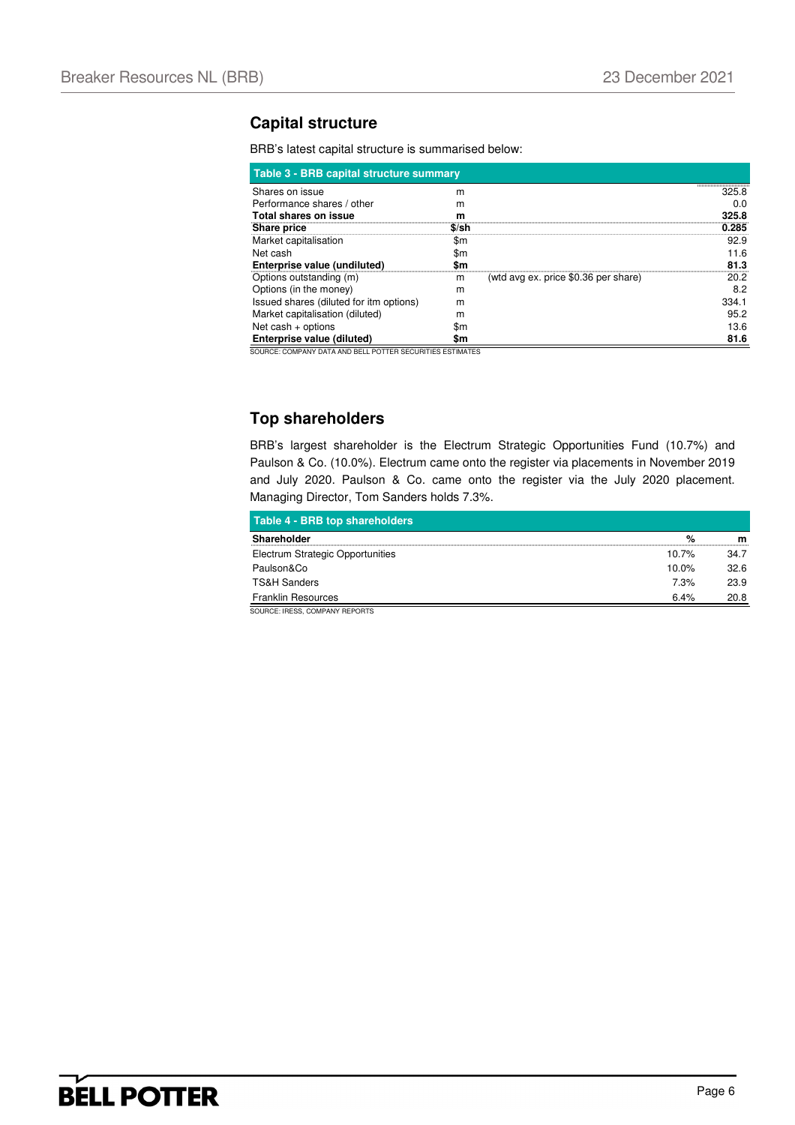### **Capital structure**

BRB's latest capital structure is summarised below:

| Table 3 - BRB capital structure summary |       |                                      |                                        |  |
|-----------------------------------------|-------|--------------------------------------|----------------------------------------|--|
| Shares on issue                         | m     |                                      | ,,,,,,,,,,,,,,,,,,,,,,,,,,,,,<br>325.8 |  |
| Performance shares / other              | m     |                                      | 0.0                                    |  |
| Total shares on issue                   | m     |                                      | 325.8                                  |  |
| Share price                             | \$/sh |                                      | 0.285                                  |  |
| Market capitalisation                   | \$m   |                                      | 92.9                                   |  |
| Net cash                                | \$m   |                                      | 11.6                                   |  |
| Enterprise value (undiluted)            | Sm    |                                      | 81.3                                   |  |
| Options outstanding (m)                 | m     | (wtd avg ex. price \$0.36 per share) | 20.2                                   |  |
| Options (in the money)                  | m     |                                      | 8.2                                    |  |
| Issued shares (diluted for itm options) | m     |                                      | 334.1                                  |  |
| Market capitalisation (diluted)         | m     |                                      | 95.2                                   |  |
| Net cash $+$ options                    | \$m   |                                      | 13.6                                   |  |
| Enterprise value (diluted)              | Sm    |                                      | 81.6                                   |  |

SOURCE: COMPANY DATA AND BELL POTTER SECURITIES ESTIMATES

## **Top shareholders**

BRB's largest shareholder is the Electrum Strategic Opportunities Fund (10.7%) and Paulson & Co. (10.0%). Electrum came onto the register via placements in November 2019 and July 2020. Paulson & Co. came onto the register via the July 2020 placement. Managing Director, Tom Sanders holds 7.3%.

| Table 4 - BRB top shareholders   |          |      |
|----------------------------------|----------|------|
| <b>Shareholder</b>               | %        | m    |
| Electrum Strategic Opportunities | 10.7%    | 34.7 |
| Paulson&Co                       | $10.0\%$ | 32.6 |
| <b>TS&amp;H Sanders</b>          | 7.3%     | 23.9 |
| <b>Franklin Resources</b>        | 6.4%     | 20.8 |

SOURCE: IRESS, COMPANY REPORTS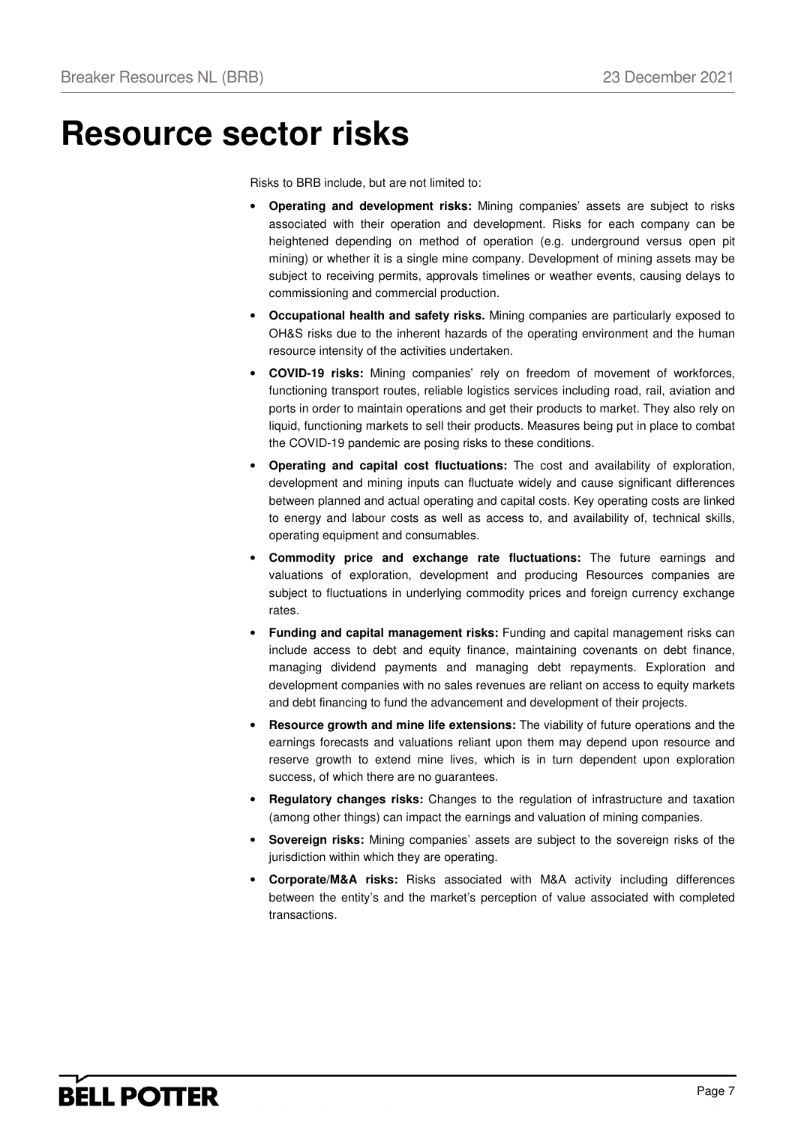## **Resource sector risks**

Risks to BRB include, but are not limited to:

- **Operating and development risks:** Mining companies' assets are subject to risks associated with their operation and development. Risks for each company can be heightened depending on method of operation (e.g. underground versus open pit mining) or whether it is a single mine company. Development of mining assets may be subject to receiving permits, approvals timelines or weather events, causing delays to commissioning and commercial production.
- **Occupational health and safety risks.** Mining companies are particularly exposed to OH&S risks due to the inherent hazards of the operating environment and the human resource intensity of the activities undertaken.
- **COVID-19 risks:** Mining companies' rely on freedom of movement of workforces, functioning transport routes, reliable logistics services including road, rail, aviation and ports in order to maintain operations and get their products to market. They also rely on liquid, functioning markets to sell their products. Measures being put in place to combat the COVID-19 pandemic are posing risks to these conditions.
- **Operating and capital cost fluctuations:** The cost and availability of exploration, development and mining inputs can fluctuate widely and cause significant differences between planned and actual operating and capital costs. Key operating costs are linked to energy and labour costs as well as access to, and availability of, technical skills, operating equipment and consumables.
- **Commodity price and exchange rate fluctuations:** The future earnings and valuations of exploration, development and producing Resources companies are subject to fluctuations in underlying commodity prices and foreign currency exchange rates.
- **Funding and capital management risks:** Funding and capital management risks can include access to debt and equity finance, maintaining covenants on debt finance, managing dividend payments and managing debt repayments. Exploration and development companies with no sales revenues are reliant on access to equity markets and debt financing to fund the advancement and development of their projects.
- **Resource growth and mine life extensions:** The viability of future operations and the earnings forecasts and valuations reliant upon them may depend upon resource and reserve growth to extend mine lives, which is in turn dependent upon exploration success, of which there are no guarantees.
- **Regulatory changes risks:** Changes to the regulation of infrastructure and taxation (among other things) can impact the earnings and valuation of mining companies.
- **Sovereign risks:** Mining companies' assets are subject to the sovereign risks of the jurisdiction within which they are operating.
- **Corporate/M&A risks:** Risks associated with M&A activity including differences between the entity's and the market's perception of value associated with completed transactions.